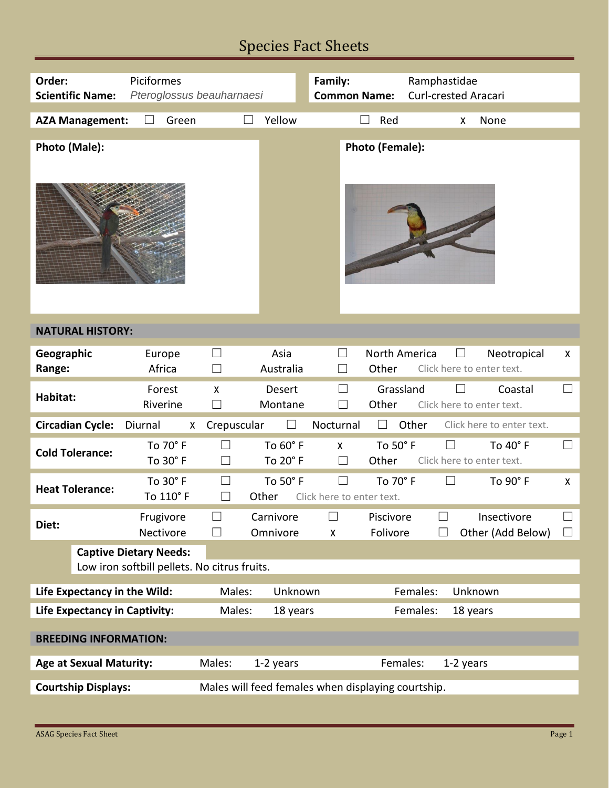## Species Fact Sheets

| Order:                                                                           | Piciformes                |                                                            | Family:                                                 | Ramphastidae                          |                  |  |  |  |
|----------------------------------------------------------------------------------|---------------------------|------------------------------------------------------------|---------------------------------------------------------|---------------------------------------|------------------|--|--|--|
| <b>Scientific Name:</b>                                                          | Pteroglossus beauharnaesi |                                                            | <b>Common Name:</b>                                     | <b>Curl-crested Aracari</b>           |                  |  |  |  |
| <b>AZA Management:</b>                                                           | Green                     | Yellow                                                     | Red                                                     | None<br>X                             |                  |  |  |  |
|                                                                                  |                           |                                                            |                                                         |                                       |                  |  |  |  |
| Photo (Male):                                                                    |                           |                                                            | Photo (Female):                                         |                                       |                  |  |  |  |
| <b>NATURAL HISTORY:</b>                                                          |                           |                                                            |                                                         |                                       |                  |  |  |  |
| Geographic                                                                       | Europe                    | Asia<br>$\blacksquare$                                     | North America                                           | Neotropical                           | X                |  |  |  |
| Range:                                                                           | Africa                    | Australia<br>$\vert \ \ \vert$                             | Other                                                   | Click here to enter text.             |                  |  |  |  |
| Habitat:                                                                         | Forest<br>Riverine        | <b>Desert</b><br>X<br>Montane<br>$\vert \ \ \vert$         | Grassland<br>$\vert \ \ \vert$<br>Other<br>$\mathsf{L}$ | Coastal<br>Click here to enter text.  | $\Box$           |  |  |  |
| <b>Circadian Cycle:</b>                                                          | Diurnal<br>X              | Crepuscular                                                | Nocturnal                                               | Other<br>Click here to enter text.    |                  |  |  |  |
| <b>Cold Tolerance:</b>                                                           | To 70° F<br>To 30° F      | To 60° F<br>$\vert \ \ \vert$<br>To $20^\circ$ F<br>$\Box$ | To 50° F<br>$\mathsf{X}$<br>Other<br>$\Box$             | To 40° F<br>Click here to enter text. | ⊔                |  |  |  |
| <b>Heat Tolerance:</b>                                                           | To 30° F<br>To 110° F     | To 50° F<br>$\Box$<br>Other<br>$\vert \ \ \vert$           | $\Box$<br>To 70° F<br>Click here to enter text.         | To 90° F<br>$\vert \ \ \vert$         | $\mathsf{X}$     |  |  |  |
| Diet:                                                                            | Frugivore<br>Nectivore    | Carnivore<br>Omnivore                                      | Piscivore<br>Folivore<br>X                              | Insectivore<br>Other (Add Below)      | $\Box$<br>$\Box$ |  |  |  |
| <b>Captive Dietary Needs:</b><br>Low iron softbill pellets. No citrus fruits.    |                           |                                                            |                                                         |                                       |                  |  |  |  |
| Life Expectancy in the Wild:<br>Males:<br>Unknown                                |                           |                                                            | Females:<br>Unknown                                     |                                       |                  |  |  |  |
| <b>Life Expectancy in Captivity:</b>                                             |                           | Males:<br>18 years                                         |                                                         | Females:<br>18 years                  |                  |  |  |  |
| <b>BREEDING INFORMATION:</b>                                                     |                           |                                                            |                                                         |                                       |                  |  |  |  |
| <b>Age at Sexual Maturity:</b>                                                   |                           | Males:<br>1-2 years                                        |                                                         | Females:<br>1-2 years                 |                  |  |  |  |
|                                                                                  |                           |                                                            |                                                         |                                       |                  |  |  |  |
| <b>Courtship Displays:</b><br>Males will feed females when displaying courtship. |                           |                                                            |                                                         |                                       |                  |  |  |  |